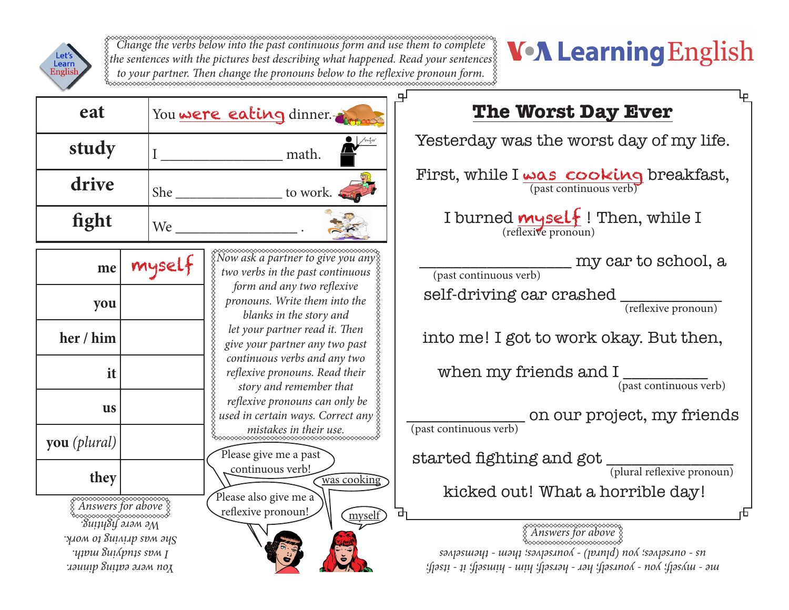

*Change the verbs below into the past continuous form and use them to complete the sentences with the pictures best describing what happened. Read your sentences to your partner. Then change the pronouns below to the reflexive pronoun form.* 

## **V-A Learning English**

|                                                   |        |                                                                                                  | ᄆ                                                                                                                                                                                                                                                                                                                                                                                                                                                                                                                |
|---------------------------------------------------|--------|--------------------------------------------------------------------------------------------------|------------------------------------------------------------------------------------------------------------------------------------------------------------------------------------------------------------------------------------------------------------------------------------------------------------------------------------------------------------------------------------------------------------------------------------------------------------------------------------------------------------------|
| eat                                               |        | You were eating dinner.                                                                          | <b>The Worst Day Ever</b>                                                                                                                                                                                                                                                                                                                                                                                                                                                                                        |
| study                                             |        | math.                                                                                            | Yesterday was the worst day of my life.                                                                                                                                                                                                                                                                                                                                                                                                                                                                          |
| drive                                             |        | to work.                                                                                         | First, while $I_{\text{max}} \cos \text{coker}_{\text{pre}}$ breakfast,                                                                                                                                                                                                                                                                                                                                                                                                                                          |
| fight                                             | We     |                                                                                                  | I burned <i>mysel</i> {! Then, while I<br>(reflexive pronoun)                                                                                                                                                                                                                                                                                                                                                                                                                                                    |
| me                                                | myself | two verbs in the past continuous                                                                 | my car to school, a<br>(past continuous verb)                                                                                                                                                                                                                                                                                                                                                                                                                                                                    |
| you                                               |        | form and any two reflexive<br>pronouns. Write them into the<br>blanks in the story and           | self-driving car crashed<br>(reflexive pronoun)                                                                                                                                                                                                                                                                                                                                                                                                                                                                  |
| her / him                                         |        | let your partner read it. Then<br>give your partner any two past<br>continuous verbs and any two | into me! I got to work okay. But then,                                                                                                                                                                                                                                                                                                                                                                                                                                                                           |
| it                                                |        | reflexive pronouns. Read their<br>story and remember that                                        | when my friends and I<br>$(\overline{\text{past continuous verb}})$                                                                                                                                                                                                                                                                                                                                                                                                                                              |
| <b>us</b>                                         |        | reflexive pronouns can only be<br>used in certain ways. Correct any $\S$                         | on our project, my friends<br>(past continuous verb)                                                                                                                                                                                                                                                                                                                                                                                                                                                             |
| you (plural)                                      |        | Please give me a past                                                                            |                                                                                                                                                                                                                                                                                                                                                                                                                                                                                                                  |
| they                                              |        | continuous verb!<br>was cooking                                                                  | $\label{eq:started} \begin{minipage}{.4\linewidth} \textbf{started fighting and got} \begin{minipage}{.4\linewidth} \hline \textbf{q} & \textbf{q} & \textbf{q} \\ \hline \textbf{q} & \textbf{q} & \textbf{q} & \textbf{q} \\ \hline \textbf{q} & \textbf{q} & \textbf{q} & \textbf{q} \\ \hline \textbf{q} & \textbf{q} & \textbf{q} & \textbf{q} \\ \hline \textbf{q} & \textbf{q} & \textbf{q} & \textbf{q} \\ \hline \textbf{q} & \textbf{q} & \textbf{q} & \textbf{q}$<br>kicked out! What a horrible day! |
| <del>xxxxxxxxxxxxxxxxx</del><br>Answers for above |        | Please also give me a<br>reflexive pronoun!<br>myself                                            | гĐ<br>ᇚ                                                                                                                                                                                                                                                                                                                                                                                                                                                                                                          |
| .<br>Buiiy8if ə.iəm əM                            |        |                                                                                                  |                                                                                                                                                                                                                                                                                                                                                                                                                                                                                                                  |
| улом од 8ијлјар ѕрм әу $\varsigma$                |        |                                                                                                  |                                                                                                                                                                                                                                                                                                                                                                                                                                                                                                                  |
| чтош видрпть сом 1                                |        |                                                                                                  | $s$ 2013 - sandsunal (pund) - sandsuno (pund) non sandsuno - sandsuno - sandsunal sandsunal sandsunal sandsunal s                                                                                                                                                                                                                                                                                                                                                                                                |
| дои мете еагіпь діппек.                           |        |                                                                                                  | :fjəs11 - 11 :fjəsuiy - uiy :fjəs.iəy - .iəy :fjəs.ino.⁄i - no.⁄i :fjəs.⁄iu - əui                                                                                                                                                                                                                                                                                                                                                                                                                                |